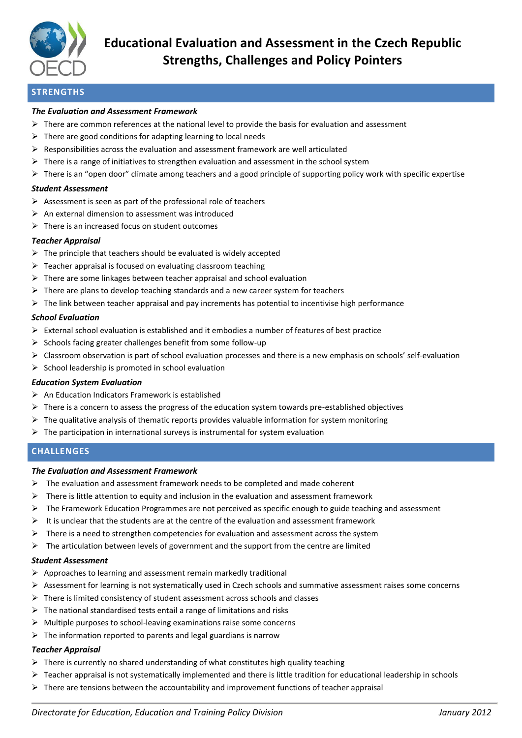

# **STRENGTHS**

#### *The Evaluation and Assessment Framework*

- $\triangleright$  There are common references at the national level to provide the basis for evaluation and assessment
- $\triangleright$  There are good conditions for adapting learning to local needs
- $\triangleright$  Responsibilities across the evaluation and assessment framework are well articulated
- $\triangleright$  There is a range of initiatives to strengthen evaluation and assessment in the school system
- $\triangleright$  There is an "open door" climate among teachers and a good principle of supporting policy work with specific expertise

#### *Student Assessment*

- $\triangleright$  Assessment is seen as part of the professional role of teachers
- $\triangleright$  An external dimension to assessment was introduced
- $\triangleright$  There is an increased focus on student outcomes

#### *Teacher Appraisal*

- $\triangleright$  The principle that teachers should be evaluated is widely accepted
- $\triangleright$  Teacher appraisal is focused on evaluating classroom teaching
- $\triangleright$  There are some linkages between teacher appraisal and school evaluation
- $\triangleright$  There are plans to develop teaching standards and a new career system for teachers
- $\triangleright$  The link between teacher appraisal and pay increments has potential to incentivise high performance

#### *School Evaluation*

- $\triangleright$  External school evaluation is established and it embodies a number of features of best practice
- $\triangleright$  Schools facing greater challenges benefit from some follow-up
- $\triangleright$  Classroom observation is part of school evaluation processes and there is a new emphasis on schools' self-evaluation
- $\triangleright$  School leadership is promoted in school evaluation

### *Education System Evaluation*

- $\triangleright$  An Education Indicators Framework is established
- $\triangleright$  There is a concern to assess the progress of the education system towards pre-established objectives
- $\triangleright$  The qualitative analysis of thematic reports provides valuable information for system monitoring
- $\triangleright$  The participation in international surveys is instrumental for system evaluation

### **CHALLENGES**

#### *The Evaluation and Assessment Framework*

- $\triangleright$  The evaluation and assessment framework needs to be completed and made coherent
- $\triangleright$  There is little attention to equity and inclusion in the evaluation and assessment framework
- $\triangleright$  The Framework Education Programmes are not perceived as specific enough to guide teaching and assessment
- $\triangleright$  It is unclear that the students are at the centre of the evaluation and assessment framework
- $\triangleright$  There is a need to strengthen competencies for evaluation and assessment across the system
- $\triangleright$  The articulation between levels of government and the support from the centre are limited

### *Student Assessment*

- $\triangleright$  Approaches to learning and assessment remain markedly traditional
- $\triangleright$  Assessment for learning is not systematically used in Czech schools and summative assessment raises some concerns
- $\triangleright$  There is limited consistency of student assessment across schools and classes
- $\triangleright$  The national standardised tests entail a range of limitations and risks
- $\triangleright$  Multiple purposes to school-leaving examinations raise some concerns
- $\triangleright$  The information reported to parents and legal guardians is narrow

### *Teacher Appraisal*

- $\triangleright$  There is currently no shared understanding of what constitutes high quality teaching
- $\triangleright$  Teacher appraisal is not systematically implemented and there is little tradition for educational leadership in schools
- $\triangleright$  There are tensions between the accountability and improvement functions of teacher appraisal